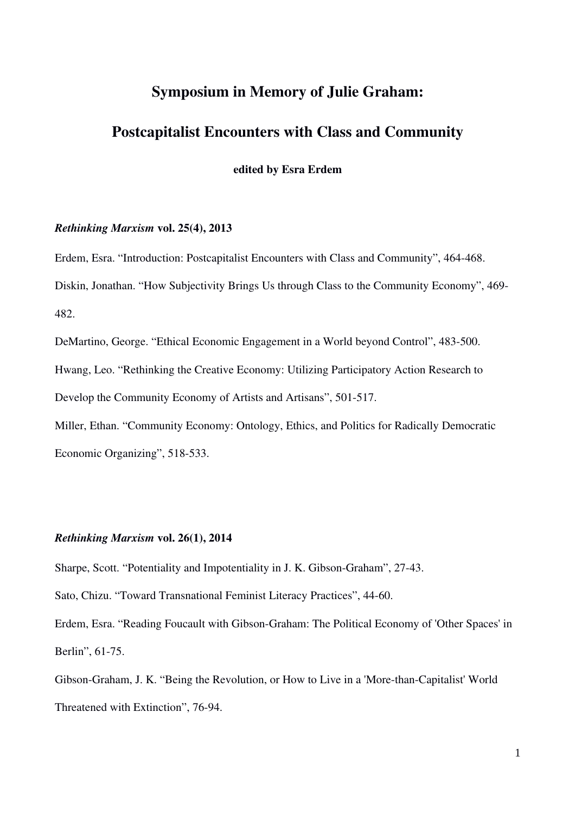# Symposium in Memory of Julie Graham:

## Postcapitalist Encounters with Class and Community

edited by Esra Erdem

### *Rethinking Marxism* vol. 25(4), 2013

Erdem, Esra. "Introduction: Postcapitalist Encounters with Class and Community", 464-468. Diskin, Jonathan. "How Subjectivity Brings Us through Class to the Community Economy", 469 482.

DeMartino, George. "Ethical Economic Engagement in a World beyond Control", 483-500. Hwang, Leo. "Rethinking the Creative Economy: Utilizing Participatory Action Research to Develop the Community Economy of Artists and Artisans", 501-517.

Miller, Ethan. "Community Economy: Ontology, Ethics, and Politics for Radically Democratic Economic Organizing", 518-533.

## *Rethinking Marxism* vol. 26(1), 2014

Sharpe, Scott. "Potentiality and Impotentiality in J. K. Gibson-Graham", 27-43.

Sato, Chizu. "Toward Transnational Feminist Literacy Practices", 44-60.

Erdem, Esra. "Reading Foucault with Gibson-Graham: The Political Economy of 'Other Spaces' in Berlin", 61-75.

Gibson-Graham, J. K. "Being the Revolution, or How to Live in a 'More-than-Capitalist' World Threatened with Extinction", 76-94.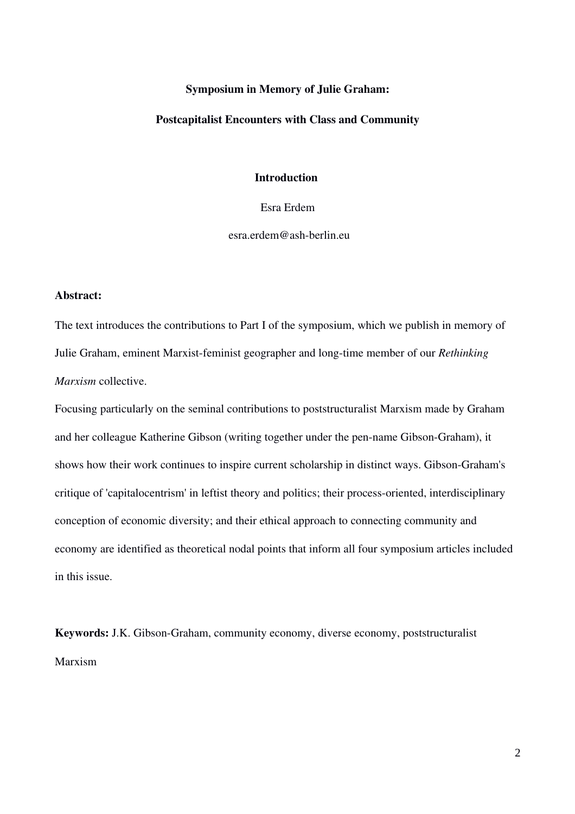## Symposium in Memory of Julie Graham:

#### Postcapitalist Encounters with Class and Community

## Introduction

Esra Erdem

 $esra. erdem@ash-berlin.eu$ 

#### Abstract:

The text introduces the contributions to Part I of the symposium, which we publish in memory of Julie Graham, eminent Marxist-feminist geographer and long-time member of our *Rethinking Marxism* collective.

Focusing particularly on the seminal contributions to poststructuralist Marxism made by Graham and her colleague Katherine Gibson (writing together under the pen-name Gibson-Graham), it shows how their work continues to inspire current scholarship in distinct ways. Gibson-Graham's critique of 'capitalocentrism' in leftist theory and politics; their process-oriented, interdisciplinary conception of economic diversity; and their ethical approach to connecting community and economy are identified as theoretical nodal points that inform all four symposium articles included in this issue.

Keywords: J.K. Gibson-Graham, community economy, diverse economy, poststructuralist Marxism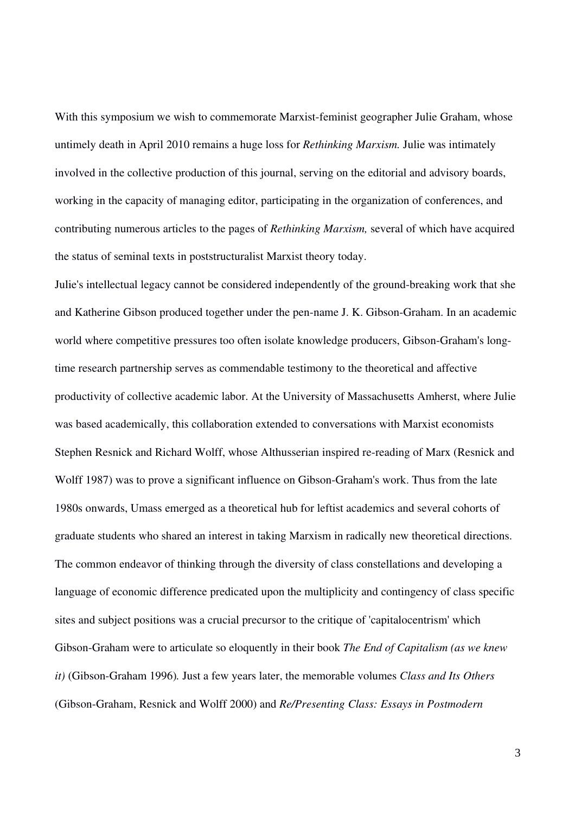With this symposium we wish to commemorate Marxist-feminist geographer Julie Graham, whose untimely death in April 2010 remains a huge loss for *Rethinking Marxism.* Julie was intimately involved in the collective production of this journal, serving on the editorial and advisory boards, working in the capacity of managing editor, participating in the organization of conferences, and contributing numerous articles to the pages of *Rethinking Marxism,* several of which have acquired the status of seminal texts in poststructuralist Marxist theory today.

Julie's intellectual legacy cannot be considered independently of the groundbreaking work that she and Katherine Gibson produced together under the pen-name J. K. Gibson-Graham. In an academic world where competitive pressures too often isolate knowledge producers, Gibson-Graham's longtime research partnership serves as commendable testimony to the theoretical and affective productivity of collective academic labor. At the University of Massachusetts Amherst, where Julie was based academically, this collaboration extended to conversations with Marxist economists Stephen Resnick and Richard Wolff, whose Althusserian inspired re-reading of Marx (Resnick and Wolff 1987) was to prove a significant influence on Gibson-Graham's work. Thus from the late 1980s onwards, Umass emerged as a theoretical hub for leftist academics and several cohorts of graduate students who shared an interest in taking Marxism in radically new theoretical directions. The common endeavor of thinking through the diversity of class constellations and developing a language of economic difference predicated upon the multiplicity and contingency of class specific sites and subject positions was a crucial precursor to the critique of 'capitalocentrism' which GibsonGraham were to articulate so eloquently in their book *The End of Capitalism (as we knew it*) (Gibson-Graham 1996). Just a few years later, the memorable volumes *Class and Its Others* (Gibson-Graham, Resnick and Wolff 2000) and *Re/Presenting Class: Essays in Postmodern*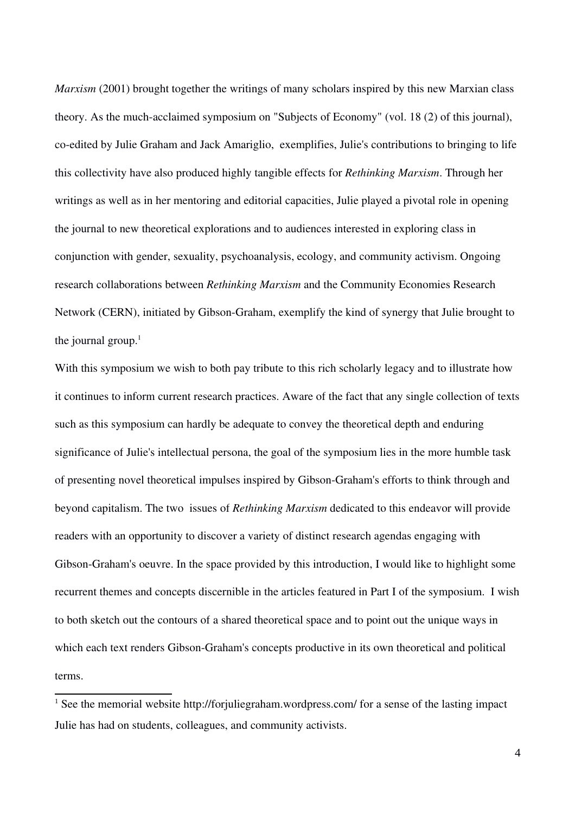*Marxism* (2001) brought together the writings of many scholars inspired by this new Marxian class theory. As the much-acclaimed symposium on "Subjects of Economy" (vol. 18 (2) of this journal), co-edited by Julie Graham and Jack Amariglio, exemplifies, Julie's contributions to bringing to life this collectivity have also produced highly tangible effects for *Rethinking Marxism*. Through her writings as well as in her mentoring and editorial capacities, Julie played a pivotal role in opening the journal to new theoretical explorations and to audiences interested in exploring class in conjunction with gender, sexuality, psychoanalysis, ecology, and community activism. Ongoing research collaborations between *Rethinking Marxism* and the Community Economies Research Network (CERN), initiated by Gibson-Graham, exemplify the kind of synergy that Julie brought to the journal group. $<sup>1</sup>$  $<sup>1</sup>$  $<sup>1</sup>$ </sup>

With this symposium we wish to both pay tribute to this rich scholarly legacy and to illustrate how it continues to inform current research practices. Aware of the fact that any single collection of texts such as this symposium can hardly be adequate to convey the theoretical depth and enduring significance of Julie's intellectual persona, the goal of the symposium lies in the more humble task of presenting novel theoretical impulses inspired by Gibson-Graham's efforts to think through and beyond capitalism. The two issues of *Rethinking Marxism* dedicated to this endeavor will provide readers with an opportunity to discover a variety of distinct research agendas engaging with Gibson-Graham's oeuvre. In the space provided by this introduction, I would like to highlight some recurrent themes and concepts discernible in the articles featured in Part I of the symposium. I wish to both sketch out the contours of a shared theoretical space and to point out the unique ways in which each text renders Gibson-Graham's concepts productive in its own theoretical and political terms.

<span id="page-3-0"></span><sup>&</sup>lt;sup>1</sup> See the memorial website http://forjuliegraham.wordpress.com/ for a sense of the lasting impact Julie has had on students, colleagues, and community activists.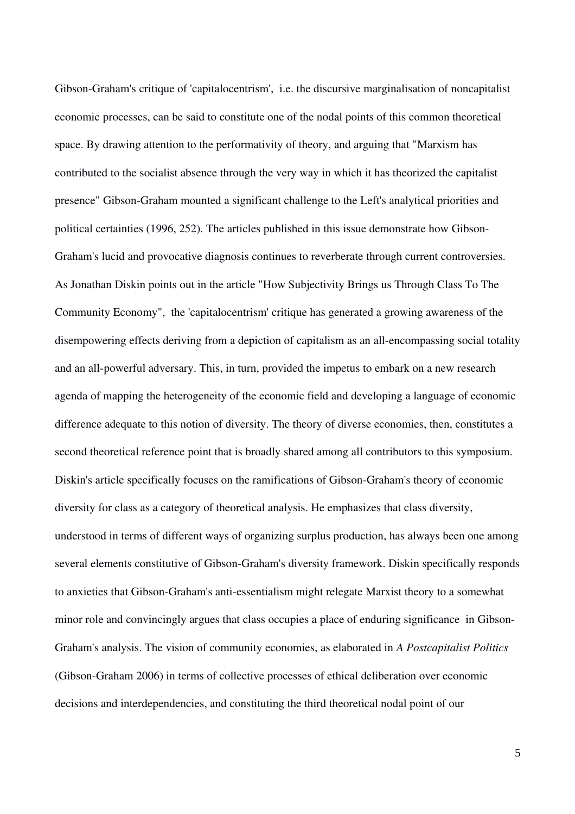Gibson-Graham's critique of 'capitalocentrism', i.e. the discursive marginalisation of noncapitalist economic processes, can be said to constitute one of the nodal points of this common theoretical space. By drawing attention to the performativity of theory, and arguing that "Marxism has contributed to the socialist absence through the very way in which it has theorized the capitalist presence" GibsonGraham mounted a significant challenge to the Left's analytical priorities and political certainties (1996, 252). The articles published in this issue demonstrate how Gibson-Graham's lucid and provocative diagnosis continues to reverberate through current controversies. As Jonathan Diskin points out in the article "How Subjectivity Brings us Through Class To The Community Economy", the 'capitalocentrism' critique has generated a growing awareness of the disempowering effects deriving from a depiction of capitalism as an all-encompassing social totality and an all-powerful adversary. This, in turn, provided the impetus to embark on a new research agenda of mapping the heterogeneity of the economic field and developing a language of economic difference adequate to this notion of diversity. The theory of diverse economies, then, constitutes a second theoretical reference point that is broadly shared among all contributors to this symposium. Diskin's article specifically focuses on the ramifications of Gibson-Graham's theory of economic diversity for class as a category of theoretical analysis. He emphasizes that class diversity, understood in terms of different ways of organizing surplus production, has always been one among several elements constitutive of Gibson-Graham's diversity framework. Diskin specifically responds to anxieties that Gibson-Graham's anti-essentialism might relegate Marxist theory to a somewhat minor role and convincingly argues that class occupies a place of enduring significance in Gibson-Graham's analysis. The vision of community economies, as elaborated in *A Postcapitalist Politics* (Gibson-Graham 2006) in terms of collective processes of ethical deliberation over economic decisions and interdependencies, and constituting the third theoretical nodal point of our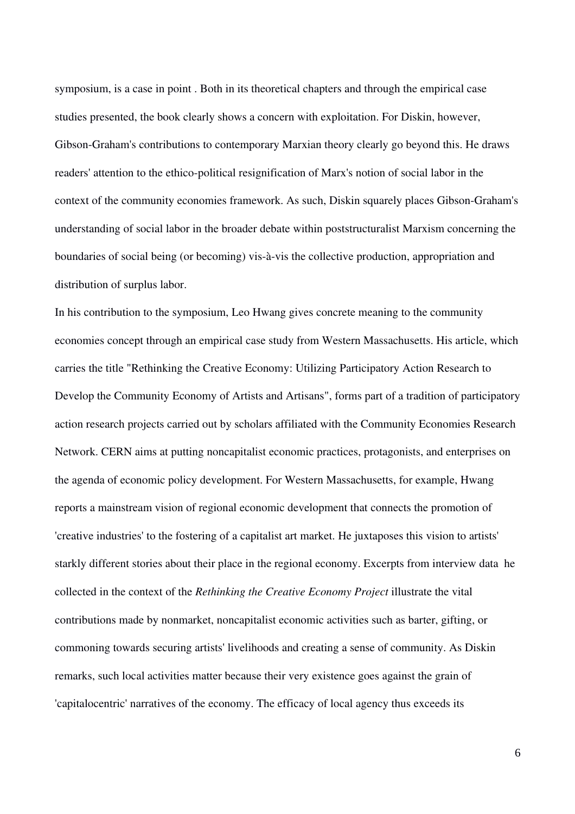symposium, is a case in point . Both in its theoretical chapters and through the empirical case studies presented, the book clearly shows a concern with exploitation. For Diskin, however, Gibson-Graham's contributions to contemporary Marxian theory clearly go beyond this. He draws readers' attention to the ethico-political resignification of Marx's notion of social labor in the context of the community economies framework. As such, Diskin squarely places Gibson-Graham's understanding of social labor in the broader debate within poststructuralist Marxism concerning the boundaries of social being (or becoming) vis-à-vis the collective production, appropriation and distribution of surplus labor.

In his contribution to the symposium, Leo Hwang gives concrete meaning to the community economies concept through an empirical case study from Western Massachusetts. His article, which carries the title "Rethinking the Creative Economy: Utilizing Participatory Action Research to Develop the Community Economy of Artists and Artisans", forms part of a tradition of participatory action research projects carried out by scholars affiliated with the Community Economies Research Network. CERN aims at putting noncapitalist economic practices, protagonists, and enterprises on the agenda of economic policy development. For Western Massachusetts, for example, Hwang reports a mainstream vision of regional economic development that connects the promotion of 'creative industries' to the fostering of a capitalist art market. He juxtaposes this vision to artists' starkly different stories about their place in the regional economy. Excerpts from interview data he collected in the context of the *Rethinking the Creative Economy Project* illustrate the vital contributions made by nonmarket, noncapitalist economic activities such as barter, gifting, or commoning towards securing artists' livelihoods and creating a sense of community. As Diskin remarks, such local activities matter because their very existence goes against the grain of 'capitalocentric' narratives of the economy. The efficacy of local agency thus exceeds its

6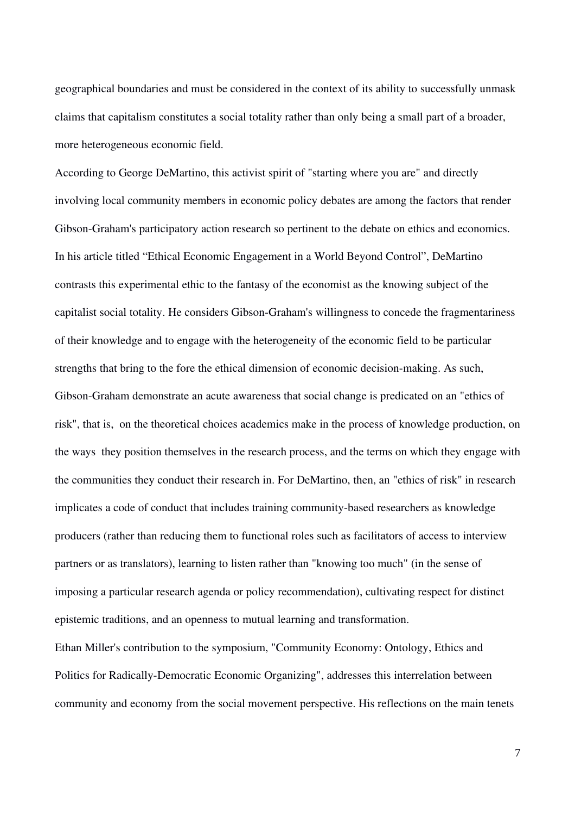geographical boundaries and must be considered in the context of its ability to successfully unmask claims that capitalism constitutes a social totality rather than only being a small part of a broader, more heterogeneous economic field.

According to George DeMartino, this activist spirit of "starting where you are" and directly involving local community members in economic policy debates are among the factors that render Gibson-Graham's participatory action research so pertinent to the debate on ethics and economics. In his article titled "Ethical Economic Engagement in a World Beyond Control", DeMartino contrasts this experimental ethic to the fantasy of the economist as the knowing subject of the capitalist social totality. He considers Gibson-Graham's willingness to concede the fragmentariness of their knowledge and to engage with the heterogeneity of the economic field to be particular strengths that bring to the fore the ethical dimension of economic decision-making. As such, Gibson-Graham demonstrate an acute awareness that social change is predicated on an "ethics of risk", that is, on the theoretical choices academics make in the process of knowledge production, on the ways they position themselves in the research process, and the terms on which they engage with the communities they conduct their research in. For DeMartino, then, an "ethics of risk" in research implicates a code of conduct that includes training community-based researchers as knowledge producers (rather than reducing them to functional roles such as facilitators of access to interview partners or as translators), learning to listen rather than "knowing too much" (in the sense of imposing a particular research agenda or policy recommendation), cultivating respect for distinct epistemic traditions, and an openness to mutual learning and transformation.

Ethan Miller's contribution to the symposium, "Community Economy: Ontology, Ethics and Politics for Radically-Democratic Economic Organizing", addresses this interrelation between community and economy from the social movement perspective. His reflections on the main tenets

7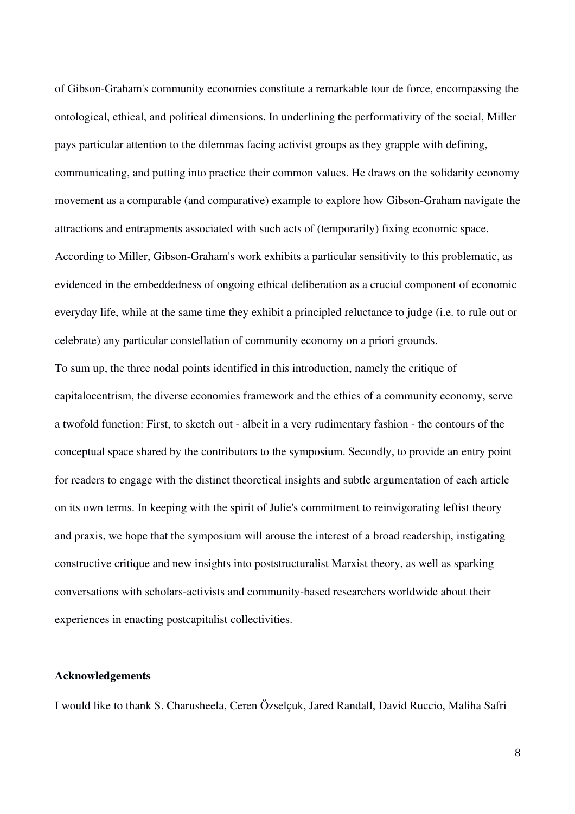of Gibson-Graham's community economies constitute a remarkable tour de force, encompassing the ontological, ethical, and political dimensions. In underlining the performativity of the social, Miller pays particular attention to the dilemmas facing activist groups as they grapple with defining, communicating, and putting into practice their common values. He draws on the solidarity economy movement as a comparable (and comparative) example to explore how Gibson-Graham navigate the attractions and entrapments associated with such acts of (temporarily) fixing economic space. According to Miller, Gibson-Graham's work exhibits a particular sensitivity to this problematic, as evidenced in the embeddedness of ongoing ethical deliberation as a crucial component of economic everyday life, while at the same time they exhibit a principled reluctance to judge (i.e. to rule out or celebrate) any particular constellation of community economy on a priori grounds.

To sum up, the three nodal points identified in this introduction, namely the critique of capitalocentrism, the diverse economies framework and the ethics of a community economy, serve a twofold function: First, to sketch out - albeit in a very rudimentary fashion - the contours of the conceptual space shared by the contributors to the symposium. Secondly, to provide an entry point for readers to engage with the distinct theoretical insights and subtle argumentation of each article on its own terms. In keeping with the spirit of Julie's commitment to reinvigorating leftist theory and praxis, we hope that the symposium will arouse the interest of a broad readership, instigating constructive critique and new insights into poststructuralist Marxist theory, as well as sparking conversations with scholars-activists and community-based researchers worldwide about their experiences in enacting postcapitalist collectivities.

## Acknowledgements

I would like to thank S. Charusheela, Ceren Özselçuk, Jared Randall, David Ruccio, Maliha Safri